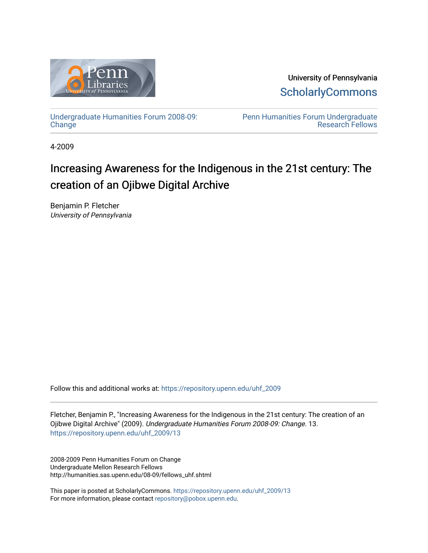

University of Pennsylvania **ScholarlyCommons** 

[Undergraduate Humanities Forum 2008-09:](https://repository.upenn.edu/uhf_2009)  **[Change](https://repository.upenn.edu/uhf_2009)** 

[Penn Humanities Forum Undergraduate](https://repository.upenn.edu/uhf_fellows)  [Research Fellows](https://repository.upenn.edu/uhf_fellows) 

4-2009

# Increasing Awareness for the Indigenous in the 21st century: The creation of an Ojibwe Digital Archive

Benjamin P. Fletcher University of Pennsylvania

Follow this and additional works at: [https://repository.upenn.edu/uhf\\_2009](https://repository.upenn.edu/uhf_2009?utm_source=repository.upenn.edu%2Fuhf_2009%2F13&utm_medium=PDF&utm_campaign=PDFCoverPages) 

Fletcher, Benjamin P., "Increasing Awareness for the Indigenous in the 21st century: The creation of an Ojibwe Digital Archive" (2009). Undergraduate Humanities Forum 2008-09: Change. 13. [https://repository.upenn.edu/uhf\\_2009/13](https://repository.upenn.edu/uhf_2009/13?utm_source=repository.upenn.edu%2Fuhf_2009%2F13&utm_medium=PDF&utm_campaign=PDFCoverPages) 

2008-2009 Penn Humanities Forum on Change Undergraduate Mellon Research Fellows http://humanities.sas.upenn.edu/08-09/fellows\_uhf.shtml

This paper is posted at ScholarlyCommons. [https://repository.upenn.edu/uhf\\_2009/13](https://repository.upenn.edu/uhf_2009/13)  For more information, please contact [repository@pobox.upenn.edu.](mailto:repository@pobox.upenn.edu)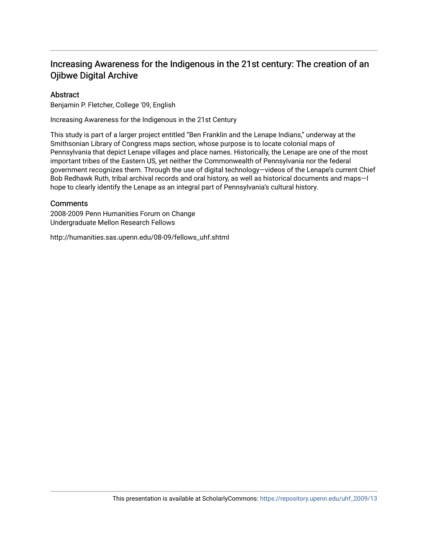# Increasing Awareness for the Indigenous in the 21st century: The creation of an Ojibwe Digital Archive

# Abstract

Benjamin P. Fletcher, College '09, English

Increasing Awareness for the Indigenous in the 21st Century

This study is part of a larger project entitled "Ben Franklin and the Lenape Indians," underway at the Smithsonian Library of Congress maps section, whose purpose is to locate colonial maps of Pennsylvania that depict Lenape villages and place names. Historically, the Lenape are one of the most important tribes of the Eastern US, yet neither the Commonwealth of Pennsylvania nor the federal government recognizes them. Through the use of digital technology—videos of the Lenape's current Chief Bob Redhawk Ruth, tribal archival records and oral history, as well as historical documents and maps—I hope to clearly identify the Lenape as an integral part of Pennsylvania's cultural history.

# **Comments**

2008-2009 Penn Humanities Forum on Change Undergraduate Mellon Research Fellows

http://humanities.sas.upenn.edu/08-09/fellows\_uhf.shtml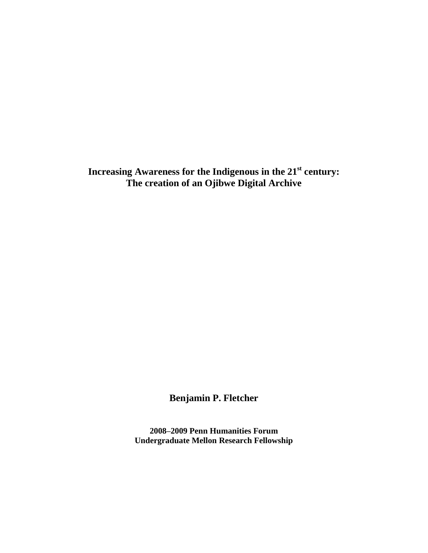**Increasing Awareness for the Indigenous in the 21st century: The creation of an Ojibwe Digital Archive**

**Benjamin P. Fletcher**

**2008–2009 Penn Humanities Forum Undergraduate Mellon Research Fellowship**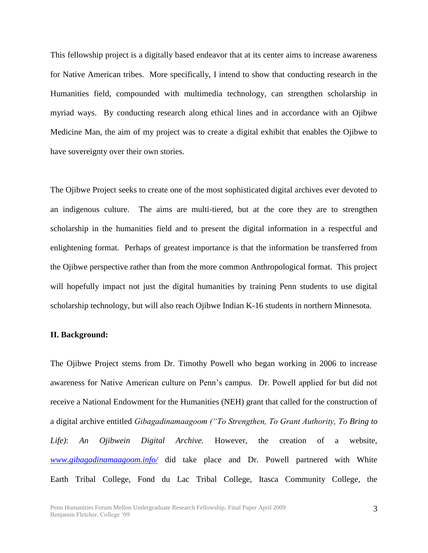This fellowship project is a digitally based endeavor that at its center aims to increase awareness for Native American tribes. More specifically, I intend to show that conducting research in the Humanities field, compounded with multimedia technology, can strengthen scholarship in myriad ways. By conducting research along ethical lines and in accordance with an Ojibwe Medicine Man, the aim of my project was to create a digital exhibit that enables the Ojibwe to have sovereignty over their own stories.

The Ojibwe Project seeks to create one of the most sophisticated digital archives ever devoted to an indigenous culture. The aims are multi-tiered, but at the core they are to strengthen scholarship in the humanities field and to present the digital information in a respectful and enlightening format. Perhaps of greatest importance is that the information be transferred from the Ojibwe perspective rather than from the more common Anthropological format. This project will hopefully impact not just the digital humanities by training Penn students to use digital scholarship technology, but will also reach Ojibwe Indian K-16 students in northern Minnesota.

# **II. Background:**

The Ojibwe Project stems from Dr. Timothy Powell who began working in 2006 to increase awareness for Native American culture on Penn"s campus. Dr. Powell applied for but did not receive a National Endowment for the Humanities (NEH) grant that called for the construction of a digital archive entitled *Gibagadinamaagoom ("To Strengthen, To Grant Authority, To Bring to Life)*: *An Ojibwein Digital Archive.* However, the creation of a website, *[www.gibagadinamaagoom.info/](http://www.gibagadinamaagoom.info/)* did take place and Dr. Powell partnered with White Earth Tribal College, Fond du Lac Tribal College, Itasca Community College, the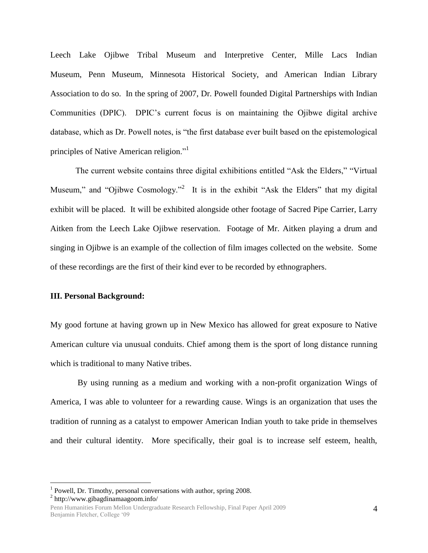Leech Lake Ojibwe Tribal Museum and Interpretive Center, Mille Lacs Indian Museum, Penn Museum, Minnesota Historical Society, and American Indian Library Association to do so. In the spring of 2007, Dr. Powell founded Digital Partnerships with Indian Communities (DPIC). DPIC"s current focus is on maintaining the Ojibwe digital archive database, which as Dr. Powell notes, is "the first database ever built based on the epistemological principles of Native American religion."

The current website contains three digital exhibitions entitled "Ask the Elders," "Virtual Museum," and "Ojibwe Cosmology."<sup>2</sup> It is in the exhibit "Ask the Elders" that my digital exhibit will be placed. It will be exhibited alongside other footage of Sacred Pipe Carrier, Larry Aitken from the Leech Lake Ojibwe reservation. Footage of Mr. Aitken playing a drum and singing in Ojibwe is an example of the collection of film images collected on the website. Some of these recordings are the first of their kind ever to be recorded by ethnographers.

# **III. Personal Background:**

My good fortune at having grown up in New Mexico has allowed for great exposure to Native American culture via unusual conduits. Chief among them is the sport of long distance running which is traditional to many Native tribes.

By using running as a medium and working with a non-profit organization Wings of America, I was able to volunteer for a rewarding cause. Wings is an organization that uses the tradition of running as a catalyst to empower American Indian youth to take pride in themselves and their cultural identity. More specifically, their goal is to increase self esteem, health,

2 http://www.gibagdinamaagoom.info/

<sup>&</sup>lt;sup>1</sup> Powell, Dr. Timothy, personal conversations with author, spring 2008.

Penn Humanities Forum Mellon Undergraduate Research Fellowship, Final Paper April 2009 Benjamin Fletcher, College "09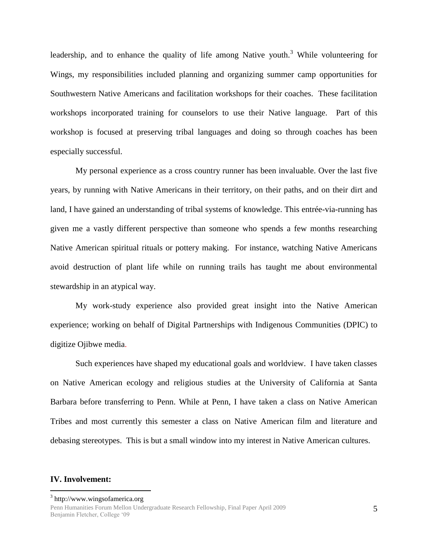leadership, and to enhance the quality of life among Native youth.<sup>3</sup> While volunteering for Wings, my responsibilities included planning and organizing summer camp opportunities for Southwestern Native Americans and facilitation workshops for their coaches. These facilitation workshops incorporated training for counselors to use their Native language. Part of this workshop is focused at preserving tribal languages and doing so through coaches has been especially successful.

My personal experience as a cross country runner has been invaluable. Over the last five years, by running with Native Americans in their territory, on their paths, and on their dirt and land, I have gained an understanding of tribal systems of knowledge. This entrée-via-running has given me a vastly different perspective than someone who spends a few months researching Native American spiritual rituals or pottery making. For instance, watching Native Americans avoid destruction of plant life while on running trails has taught me about environmental stewardship in an atypical way.

My work-study experience also provided great insight into the Native American experience; working on behalf of Digital Partnerships with Indigenous Communities (DPIC) to digitize Ojibwe media.

Such experiences have shaped my educational goals and worldview. I have taken classes on Native American ecology and religious studies at the University of California at Santa Barbara before transferring to Penn. While at Penn, I have taken a class on Native American Tribes and most currently this semester a class on Native American film and literature and debasing stereotypes. This is but a small window into my interest in Native American cultures.

#### **IV. Involvement:**

<sup>&</sup>lt;sup>3</sup> http://www.wingsofamerica.org

Penn Humanities Forum Mellon Undergraduate Research Fellowship, Final Paper April 2009 Benjamin Fletcher, College "09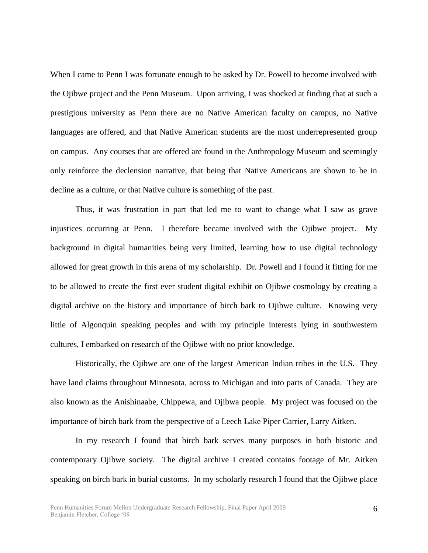When I came to Penn I was fortunate enough to be asked by Dr. Powell to become involved with the Ojibwe project and the Penn Museum. Upon arriving, I was shocked at finding that at such a prestigious university as Penn there are no Native American faculty on campus, no Native languages are offered, and that Native American students are the most underrepresented group on campus. Any courses that are offered are found in the Anthropology Museum and seemingly only reinforce the declension narrative, that being that Native Americans are shown to be in decline as a culture, or that Native culture is something of the past.

Thus, it was frustration in part that led me to want to change what I saw as grave injustices occurring at Penn. I therefore became involved with the Ojibwe project. My background in digital humanities being very limited, learning how to use digital technology allowed for great growth in this arena of my scholarship. Dr. Powell and I found it fitting for me to be allowed to create the first ever student digital exhibit on Ojibwe cosmology by creating a digital archive on the history and importance of birch bark to Ojibwe culture. Knowing very little of Algonquin speaking peoples and with my principle interests lying in southwestern cultures, I embarked on research of the Ojibwe with no prior knowledge.

Historically, the Ojibwe are one of the largest American Indian tribes in the U.S. They have land claims throughout Minnesota, across to Michigan and into parts of Canada. They are also known as the Anishinaabe, Chippewa, and Ojibwa people. My project was focused on the importance of birch bark from the perspective of a Leech Lake Piper Carrier, Larry Aitken.

In my research I found that birch bark serves many purposes in both historic and contemporary Ojibwe society. The digital archive I created contains footage of Mr. Aitken speaking on birch bark in burial customs. In my scholarly research I found that the Ojibwe place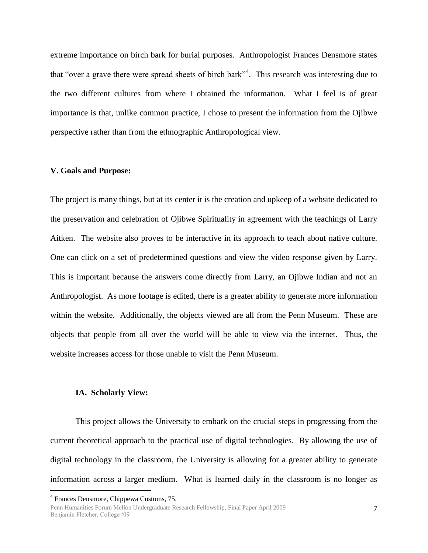extreme importance on birch bark for burial purposes. Anthropologist Frances Densmore states that "over a grave there were spread sheets of birch bark"<sup>4</sup>. This research was interesting due to the two different cultures from where I obtained the information. What I feel is of great importance is that, unlike common practice, I chose to present the information from the Ojibwe perspective rather than from the ethnographic Anthropological view.

#### **V. Goals and Purpose:**

The project is many things, but at its center it is the creation and upkeep of a website dedicated to the preservation and celebration of Ojibwe Spirituality in agreement with the teachings of Larry Aitken. The website also proves to be interactive in its approach to teach about native culture. One can click on a set of predetermined questions and view the video response given by Larry. This is important because the answers come directly from Larry, an Ojibwe Indian and not an Anthropologist. As more footage is edited, there is a greater ability to generate more information within the website. Additionally, the objects viewed are all from the Penn Museum. These are objects that people from all over the world will be able to view via the internet. Thus, the website increases access for those unable to visit the Penn Museum.

## **IA. Scholarly View:**

This project allows the University to embark on the crucial steps in progressing from the current theoretical approach to the practical use of digital technologies. By allowing the use of digital technology in the classroom, the University is allowing for a greater ability to generate information across a larger medium. What is learned daily in the classroom is no longer as

<sup>4</sup> Frances Densmore, Chippewa Customs, 75.

Penn Humanities Forum Mellon Undergraduate Research Fellowship, Final Paper April 2009 Benjamin Fletcher, College "09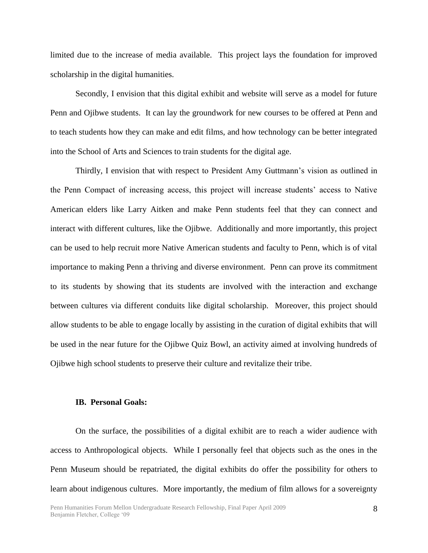limited due to the increase of media available. This project lays the foundation for improved scholarship in the digital humanities.

Secondly, I envision that this digital exhibit and website will serve as a model for future Penn and Ojibwe students. It can lay the groundwork for new courses to be offered at Penn and to teach students how they can make and edit films, and how technology can be better integrated into the School of Arts and Sciences to train students for the digital age.

Thirdly, I envision that with respect to President Amy Guttmann"s vision as outlined in the Penn Compact of increasing access, this project will increase students" access to Native American elders like Larry Aitken and make Penn students feel that they can connect and interact with different cultures, like the Ojibwe. Additionally and more importantly, this project can be used to help recruit more Native American students and faculty to Penn, which is of vital importance to making Penn a thriving and diverse environment. Penn can prove its commitment to its students by showing that its students are involved with the interaction and exchange between cultures via different conduits like digital scholarship. Moreover, this project should allow students to be able to engage locally by assisting in the curation of digital exhibits that will be used in the near future for the Ojibwe Quiz Bowl, an activity aimed at involving hundreds of Ojibwe high school students to preserve their culture and revitalize their tribe.

## **IB. Personal Goals:**

On the surface, the possibilities of a digital exhibit are to reach a wider audience with access to Anthropological objects. While I personally feel that objects such as the ones in the Penn Museum should be repatriated, the digital exhibits do offer the possibility for others to learn about indigenous cultures. More importantly, the medium of film allows for a sovereignty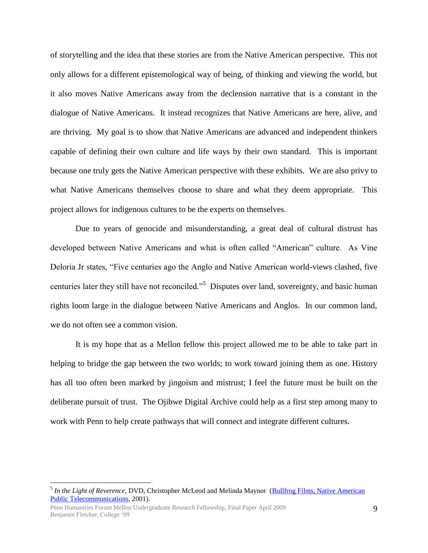of storytelling and the idea that these stories are from the Native American perspective. This not only allows for a different epistemological way of being, of thinking and viewing the world, but it also moves Native Americans away from the declension narrative that is a constant in the dialogue of Native Americans. It instead recognizes that Native Americans are here, alive, and are thriving. My goal is to show that Native Americans are advanced and independent thinkers capable of defining their own culture and life ways by their own standard. This is important because one truly gets the Native American perspective with these exhibits. We are also privy to what Native Americans themselves choose to share and what they deem appropriate. This project allows for indigenous cultures to be the experts on themselves.

Due to years of genocide and misunderstanding, a great deal of cultural distrust has developed between Native Americans and what is often called "American" culture. As Vine Deloria Jr states, "Five centuries ago the Anglo and Native American world-views clashed, five centuries later they still have not reconciled."<sup>5</sup> Disputes over land, sovereignty, and basic human rights loom large in the dialogue between Native Americans and Anglos. In our common land, we do not often see a common vision.

It is my hope that as a Mellon fellow this project allowed me to be able to take part in helping to bridge the gap between the two worlds; to work toward joining them as one. History has all too often been marked by jingoism and mistrust; I feel the future must be built on the deliberate pursuit of trust. The Ojibwe Digital Archive could help as a first step among many to work with Penn to help create pathways that will connect and integrate different cultures.

<sup>&</sup>lt;sup>5</sup> In the Light of Reverence, DVD, Christopher McLeod and Melinda Maynor (Bullfrog Films, Native American [Public Telecommunications,](http://en.wikipedia.org/w/index.php?title=Bullfrog_Films,_Netflix,_Native_American_Public_Telecommunications&action=edit&redlink=1) 2001).

Penn Humanities Forum Mellon Undergraduate Research Fellowship, Final Paper April 2009 Benjamin Fletcher, College "09